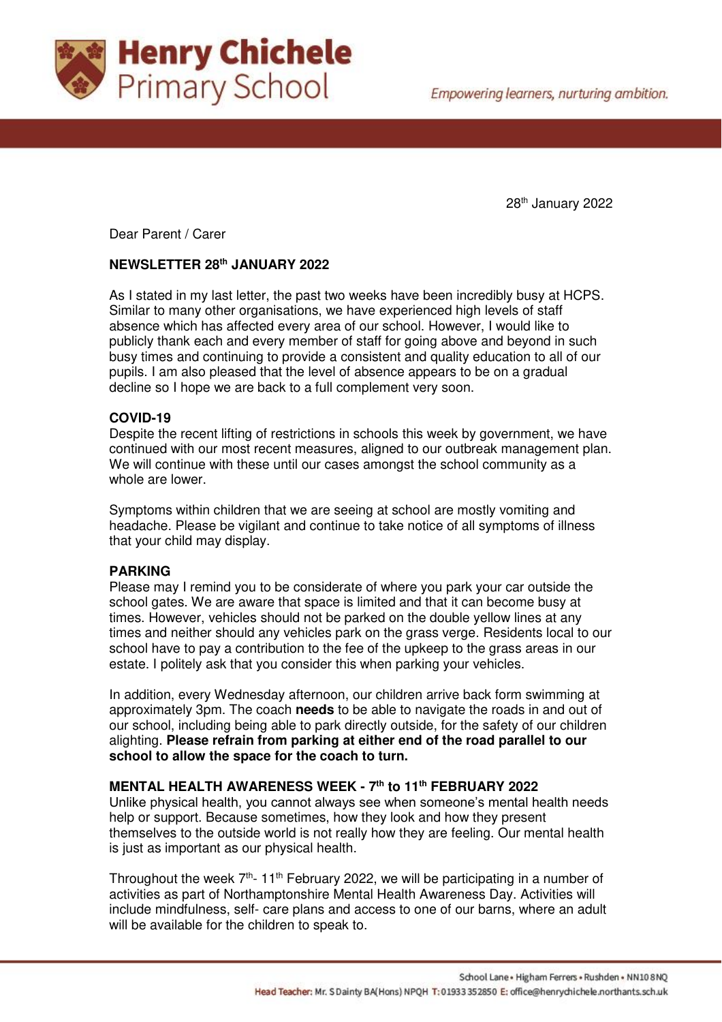

28th January 2022

Dear Parent / Carer

# **NEWSLETTER 28th JANUARY 2022**

As I stated in my last letter, the past two weeks have been incredibly busy at HCPS. Similar to many other organisations, we have experienced high levels of staff absence which has affected every area of our school. However, I would like to publicly thank each and every member of staff for going above and beyond in such busy times and continuing to provide a consistent and quality education to all of our pupils. I am also pleased that the level of absence appears to be on a gradual decline so I hope we are back to a full complement very soon.

## **COVID-19**

Despite the recent lifting of restrictions in schools this week by government, we have continued with our most recent measures, aligned to our outbreak management plan. We will continue with these until our cases amongst the school community as a whole are lower.

Symptoms within children that we are seeing at school are mostly vomiting and headache. Please be vigilant and continue to take notice of all symptoms of illness that your child may display.

## **PARKING**

Please may I remind you to be considerate of where you park your car outside the school gates. We are aware that space is limited and that it can become busy at times. However, vehicles should not be parked on the double yellow lines at any times and neither should any vehicles park on the grass verge. Residents local to our school have to pay a contribution to the fee of the upkeep to the grass areas in our estate. I politely ask that you consider this when parking your vehicles.

In addition, every Wednesday afternoon, our children arrive back form swimming at approximately 3pm. The coach **needs** to be able to navigate the roads in and out of our school, including being able to park directly outside, for the safety of our children alighting. **Please refrain from parking at either end of the road parallel to our school to allow the space for the coach to turn.** 

#### **MENTAL HEALTH AWARENESS WEEK - 7th to 11th FEBRUARY 2022**

Unlike physical health, you cannot always see when someone's mental health needs help or support. Because sometimes, how they look and how they present themselves to the outside world is not really how they are feeling. Our mental health is just as important as our physical health.

Throughout the week  $7<sup>th</sup>$ -11<sup>th</sup> February 2022, we will be participating in a number of activities as part of Northamptonshire Mental Health Awareness Day. Activities will include mindfulness, self- care plans and access to one of our barns, where an adult will be available for the children to speak to.